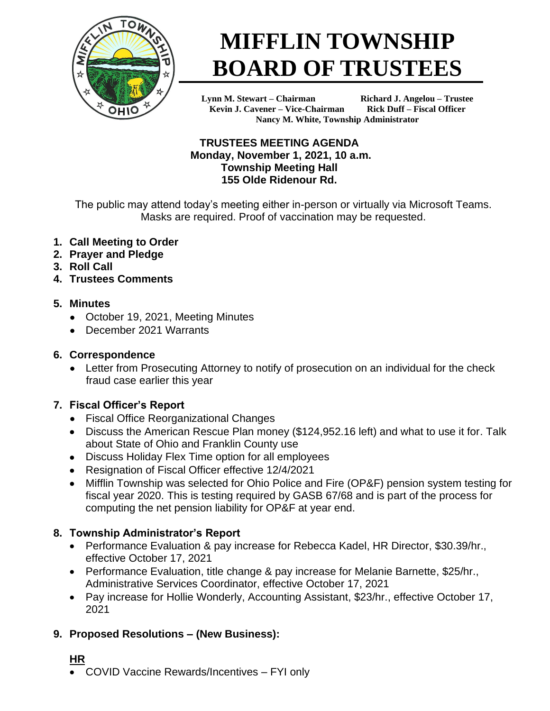

# **MIFFLIN TOWNSHIP BOARD OF TRUSTEES**

**Lynn M. Stewart – Chairman Richard J. Angelou – Trustee Kevin J. Cavener – Vice-Chairman Rick Duff – Fiscal Officer Nancy M. White, Township Administrator**

#### **TRUSTEES MEETING AGENDA Monday, November 1, 2021, 10 a.m. Township Meeting Hall 155 Olde Ridenour Rd.**

The public may attend today's meeting either in-person or virtually via Microsoft Teams. Masks are required. Proof of vaccination may be requested.

- **1. Call Meeting to Order**
- **2. Prayer and Pledge**
- **3. Roll Call**
- **4. Trustees Comments**

# **5. Minutes**

- October 19, 2021, Meeting Minutes
- December 2021 Warrants

# **6. Correspondence**

• Letter from Prosecuting Attorney to notify of prosecution on an individual for the check fraud case earlier this year

# **7. Fiscal Officer's Report**

- Fiscal Office Reorganizational Changes
- Discuss the American Rescue Plan money (\$124,952.16 left) and what to use it for. Talk about State of Ohio and Franklin County use
- Discuss Holiday Flex Time option for all employees
- Resignation of Fiscal Officer effective 12/4/2021
- Mifflin Township was selected for Ohio Police and Fire (OP&F) pension system testing for fiscal year 2020. This is testing required by GASB 67/68 and is part of the process for computing the net pension liability for OP&F at year end.

# **8. Township Administrator's Report**

- Performance Evaluation & pay increase for Rebecca Kadel, HR Director, \$30.39/hr., effective October 17, 2021
- Performance Evaluation, title change & pay increase for Melanie Barnette, \$25/hr., Administrative Services Coordinator, effective October 17, 2021
- Pay increase for Hollie Wonderly, Accounting Assistant, \$23/hr., effective October 17, 2021

# **9. Proposed Resolutions – (New Business):**

# **HR**

• COVID Vaccine Rewards/Incentives – FYI only